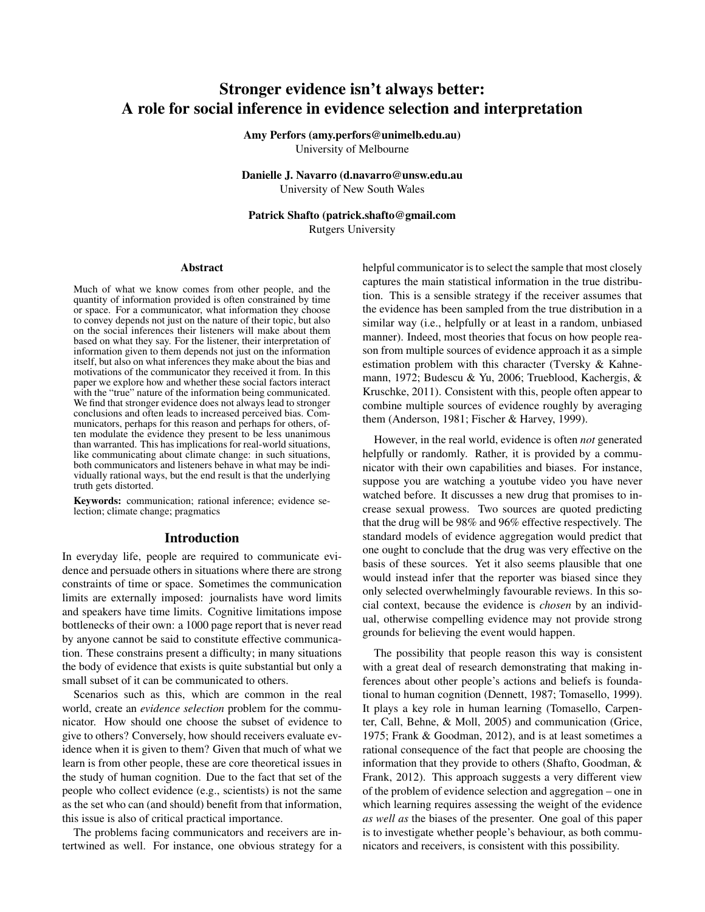# Stronger evidence isn't always better: A role for social inference in evidence selection and interpretation

Amy Perfors (amy.perfors@unimelb.edu.au) University of Melbourne

Danielle J. Navarro (d.navarro@unsw.edu.au University of New South Wales

Patrick Shafto (patrick.shafto@gmail.com Rutgers University

#### Abstract

Much of what we know comes from other people, and the quantity of information provided is often constrained by time or space. For a communicator, what information they choose to convey depends not just on the nature of their topic, but also on the social inferences their listeners will make about them based on what they say. For the listener, their interpretation of information given to them depends not just on the information itself, but also on what inferences they make about the bias and motivations of the communicator they received it from. In this paper we explore how and whether these social factors interact with the "true" nature of the information being communicated. We find that stronger evidence does not always lead to stronger conclusions and often leads to increased perceived bias. Communicators, perhaps for this reason and perhaps for others, often modulate the evidence they present to be less unanimous than warranted. This has implications for real-world situations, like communicating about climate change: in such situations, both communicators and listeners behave in what may be individually rational ways, but the end result is that the underlying truth gets distorted.

Keywords: communication; rational inference; evidence selection; climate change; pragmatics

## Introduction

In everyday life, people are required to communicate evidence and persuade others in situations where there are strong constraints of time or space. Sometimes the communication limits are externally imposed: journalists have word limits and speakers have time limits. Cognitive limitations impose bottlenecks of their own: a 1000 page report that is never read by anyone cannot be said to constitute effective communication. These constrains present a difficulty; in many situations the body of evidence that exists is quite substantial but only a small subset of it can be communicated to others.

Scenarios such as this, which are common in the real world, create an *evidence selection* problem for the communicator. How should one choose the subset of evidence to give to others? Conversely, how should receivers evaluate evidence when it is given to them? Given that much of what we learn is from other people, these are core theoretical issues in the study of human cognition. Due to the fact that set of the people who collect evidence (e.g., scientists) is not the same as the set who can (and should) benefit from that information, this issue is also of critical practical importance.

The problems facing communicators and receivers are intertwined as well. For instance, one obvious strategy for a helpful communicator is to select the sample that most closely captures the main statistical information in the true distribution. This is a sensible strategy if the receiver assumes that the evidence has been sampled from the true distribution in a similar way (i.e., helpfully or at least in a random, unbiased manner). Indeed, most theories that focus on how people reason from multiple sources of evidence approach it as a simple estimation problem with this character (Tversky & Kahnemann, 1972; Budescu & Yu, 2006; Trueblood, Kachergis, & Kruschke, 2011). Consistent with this, people often appear to combine multiple sources of evidence roughly by averaging them (Anderson, 1981; Fischer & Harvey, 1999).

However, in the real world, evidence is often *not* generated helpfully or randomly. Rather, it is provided by a communicator with their own capabilities and biases. For instance, suppose you are watching a youtube video you have never watched before. It discusses a new drug that promises to increase sexual prowess. Two sources are quoted predicting that the drug will be 98% and 96% effective respectively. The standard models of evidence aggregation would predict that one ought to conclude that the drug was very effective on the basis of these sources. Yet it also seems plausible that one would instead infer that the reporter was biased since they only selected overwhelmingly favourable reviews. In this social context, because the evidence is *chosen* by an individual, otherwise compelling evidence may not provide strong grounds for believing the event would happen.

The possibility that people reason this way is consistent with a great deal of research demonstrating that making inferences about other people's actions and beliefs is foundational to human cognition (Dennett, 1987; Tomasello, 1999). It plays a key role in human learning (Tomasello, Carpenter, Call, Behne, & Moll, 2005) and communication (Grice, 1975; Frank & Goodman, 2012), and is at least sometimes a rational consequence of the fact that people are choosing the information that they provide to others (Shafto, Goodman, & Frank, 2012). This approach suggests a very different view of the problem of evidence selection and aggregation – one in which learning requires assessing the weight of the evidence *as well as* the biases of the presenter. One goal of this paper is to investigate whether people's behaviour, as both communicators and receivers, is consistent with this possibility.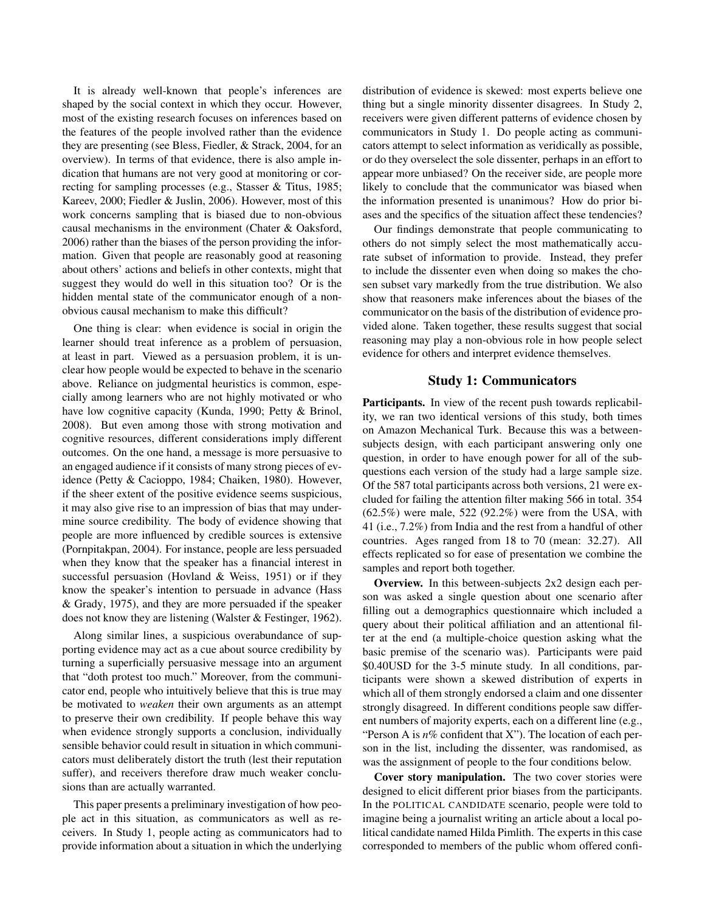It is already well-known that people's inferences are shaped by the social context in which they occur. However, most of the existing research focuses on inferences based on the features of the people involved rather than the evidence they are presenting (see Bless, Fiedler, & Strack, 2004, for an overview). In terms of that evidence, there is also ample indication that humans are not very good at monitoring or correcting for sampling processes (e.g., Stasser & Titus, 1985; Kareev, 2000; Fiedler & Juslin, 2006). However, most of this work concerns sampling that is biased due to non-obvious causal mechanisms in the environment (Chater & Oaksford, 2006) rather than the biases of the person providing the information. Given that people are reasonably good at reasoning about others' actions and beliefs in other contexts, might that suggest they would do well in this situation too? Or is the hidden mental state of the communicator enough of a nonobvious causal mechanism to make this difficult?

One thing is clear: when evidence is social in origin the learner should treat inference as a problem of persuasion, at least in part. Viewed as a persuasion problem, it is unclear how people would be expected to behave in the scenario above. Reliance on judgmental heuristics is common, especially among learners who are not highly motivated or who have low cognitive capacity (Kunda, 1990; Petty & Brinol, 2008). But even among those with strong motivation and cognitive resources, different considerations imply different outcomes. On the one hand, a message is more persuasive to an engaged audience if it consists of many strong pieces of evidence (Petty & Cacioppo, 1984; Chaiken, 1980). However, if the sheer extent of the positive evidence seems suspicious, it may also give rise to an impression of bias that may undermine source credibility. The body of evidence showing that people are more influenced by credible sources is extensive (Pornpitakpan, 2004). For instance, people are less persuaded when they know that the speaker has a financial interest in successful persuasion (Hovland & Weiss, 1951) or if they know the speaker's intention to persuade in advance (Hass & Grady, 1975), and they are more persuaded if the speaker does not know they are listening (Walster & Festinger, 1962).

Along similar lines, a suspicious overabundance of supporting evidence may act as a cue about source credibility by turning a superficially persuasive message into an argument that "doth protest too much." Moreover, from the communicator end, people who intuitively believe that this is true may be motivated to *weaken* their own arguments as an attempt to preserve their own credibility. If people behave this way when evidence strongly supports a conclusion, individually sensible behavior could result in situation in which communicators must deliberately distort the truth (lest their reputation suffer), and receivers therefore draw much weaker conclusions than are actually warranted.

This paper presents a preliminary investigation of how people act in this situation, as communicators as well as receivers. In Study 1, people acting as communicators had to provide information about a situation in which the underlying distribution of evidence is skewed: most experts believe one thing but a single minority dissenter disagrees. In Study 2, receivers were given different patterns of evidence chosen by communicators in Study 1. Do people acting as communicators attempt to select information as veridically as possible, or do they overselect the sole dissenter, perhaps in an effort to appear more unbiased? On the receiver side, are people more likely to conclude that the communicator was biased when the information presented is unanimous? How do prior biases and the specifics of the situation affect these tendencies?

Our findings demonstrate that people communicating to others do not simply select the most mathematically accurate subset of information to provide. Instead, they prefer to include the dissenter even when doing so makes the chosen subset vary markedly from the true distribution. We also show that reasoners make inferences about the biases of the communicator on the basis of the distribution of evidence provided alone. Taken together, these results suggest that social reasoning may play a non-obvious role in how people select evidence for others and interpret evidence themselves.

### Study 1: Communicators

Participants. In view of the recent push towards replicability, we ran two identical versions of this study, both times on Amazon Mechanical Turk. Because this was a betweensubjects design, with each participant answering only one question, in order to have enough power for all of the subquestions each version of the study had a large sample size. Of the 587 total participants across both versions, 21 were excluded for failing the attention filter making 566 in total. 354 (62.5%) were male, 522 (92.2%) were from the USA, with 41 (i.e., 7.2%) from India and the rest from a handful of other countries. Ages ranged from 18 to 70 (mean: 32.27). All effects replicated so for ease of presentation we combine the samples and report both together.

Overview. In this between-subjects 2x2 design each person was asked a single question about one scenario after filling out a demographics questionnaire which included a query about their political affiliation and an attentional filter at the end (a multiple-choice question asking what the basic premise of the scenario was). Participants were paid \$0.40USD for the 3-5 minute study. In all conditions, participants were shown a skewed distribution of experts in which all of them strongly endorsed a claim and one dissenter strongly disagreed. In different conditions people saw different numbers of majority experts, each on a different line (e.g., "Person A is  $n\%$  confident that X"). The location of each person in the list, including the dissenter, was randomised, as was the assignment of people to the four conditions below.

Cover story manipulation. The two cover stories were designed to elicit different prior biases from the participants. In the POLITICAL CANDIDATE scenario, people were told to imagine being a journalist writing an article about a local political candidate named Hilda Pimlith. The experts in this case corresponded to members of the public whom offered confi-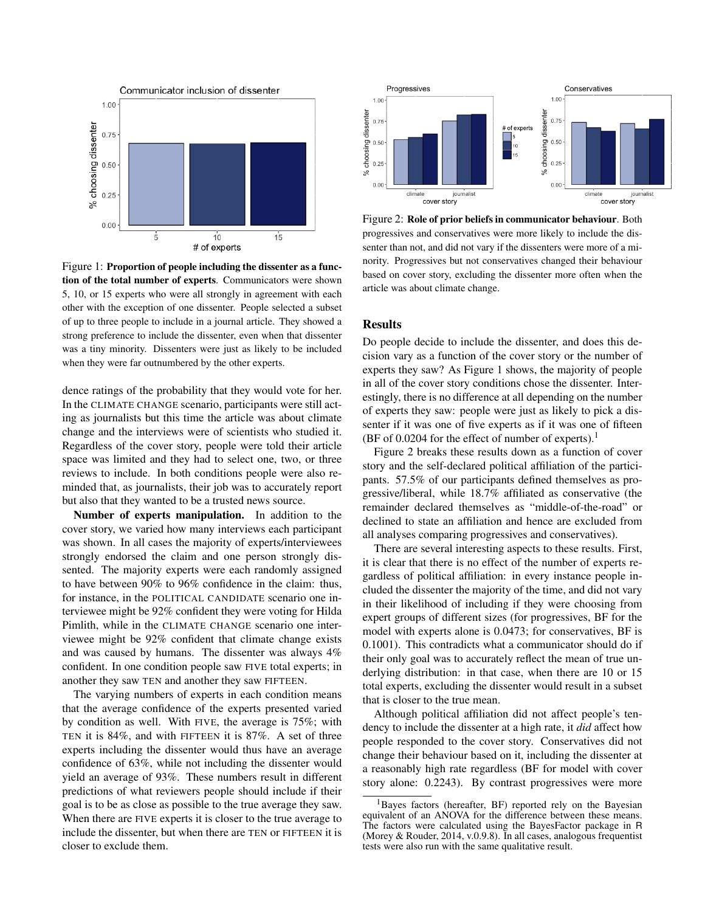

Figure 1: Proportion of people including the dissenter as a function of the total number of experts. Communicators were shown 5, 10, or 15 experts who were all strongly in agreement with each other with the exception of one dissenter. People selected a subset of up to three people to include in a journal article. They showed a strong preference to include the dissenter, even when that dissenter was a tiny minority. Dissenters were just as likely to be included when they were far outnumbered by the other experts.

dence ratings of the probability that they would vote for her. In the CLIMATE CHANGE scenario, participants were still acting as journalists but this time the article was about climate change and the interviews were of scientists who studied it. Regardless of the cover story, people were told their article space was limited and they had to select one, two, or three reviews to include. In both conditions people were also reminded that, as journalists, their job was to accurately report but also that they wanted to be a trusted news source.

Number of experts manipulation. In addition to the cover story, we varied how many interviews each participant was shown. In all cases the majority of experts/interviewees strongly endorsed the claim and one person strongly dissented. The majority experts were each randomly assigned to have between 90% to 96% confidence in the claim: thus, for instance, in the POLITICAL CANDIDATE scenario one interviewee might be 92% confident they were voting for Hilda Pimlith, while in the CLIMATE CHANGE scenario one interviewee might be 92% confident that climate change exists and was caused by humans. The dissenter was always 4% confident. In one condition people saw FIVE total experts; in another they saw TEN and another they saw FIFTEEN.

The varying numbers of experts in each condition means that the average confidence of the experts presented varied by condition as well. With FIVE, the average is 75%; with TEN it is 84%, and with FIFTEEN it is 87%. A set of three experts including the dissenter would thus have an average confidence of 63%, while not including the dissenter would yield an average of 93%. These numbers result in different predictions of what reviewers people should include if their goal is to be as close as possible to the true average they saw. When there are FIVE experts it is closer to the true average to include the dissenter, but when there are TEN or FIFTEEN it is closer to exclude them.



Figure 2: Role of prior beliefs in communicator behaviour. Both progressives and conservatives were more likely to include the dissenter than not, and did not vary if the dissenters were more of a minority. Progressives but not conservatives changed their behaviour based on cover story, excluding the dissenter more often when the article was about climate change.

### **Results**

Do people decide to include the dissenter, and does this decision vary as a function of the cover story or the number of experts they saw? As Figure 1 shows, the majority of people in all of the cover story conditions chose the dissenter. Interestingly, there is no difference at all depending on the number of experts they saw: people were just as likely to pick a dissenter if it was one of five experts as if it was one of fifteen  $(BF of 0.0204$  for the effect of number of experts).<sup>1</sup>

Figure 2 breaks these results down as a function of cover story and the self-declared political affiliation of the participants. 57.5% of our participants defined themselves as progressive/liberal, while 18.7% affiliated as conservative (the remainder declared themselves as "middle-of-the-road" or declined to state an affiliation and hence are excluded from all analyses comparing progressives and conservatives).

There are several interesting aspects to these results. First, it is clear that there is no effect of the number of experts regardless of political affiliation: in every instance people included the dissenter the majority of the time, and did not vary in their likelihood of including if they were choosing from expert groups of different sizes (for progressives, BF for the model with experts alone is 0.0473; for conservatives, BF is 0.1001). This contradicts what a communicator should do if their only goal was to accurately reflect the mean of true underlying distribution: in that case, when there are 10 or 15 total experts, excluding the dissenter would result in a subset that is closer to the true mean.

Although political affiliation did not affect people's tendency to include the dissenter at a high rate, it *did* affect how people responded to the cover story. Conservatives did not change their behaviour based on it, including the dissenter at a reasonably high rate regardless (BF for model with cover story alone: 0.2243). By contrast progressives were more

<sup>&</sup>lt;sup>1</sup>Bayes factors (hereafter, BF) reported rely on the Bayesian equivalent of an ANOVA for the difference between these means. The factors were calculated using the BayesFactor package in R (Morey & Rouder, 2014, v.0.9.8). In all cases, analogous frequentist tests were also run with the same qualitative result.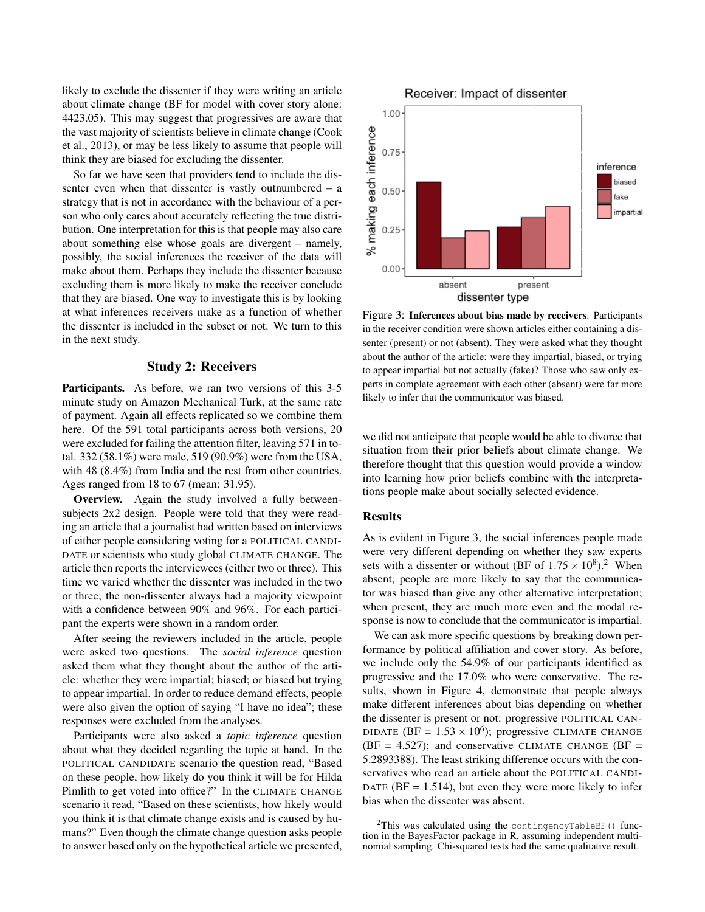likely to exclude the dissenter if they were writing an article about climate change (BF for model with cover story alone: 4423.05). This may suggest that progressives are aware that the vast majority of scientists believe in climate change (Cook et al., 2013), or may be less likely to assume that people will think they are biased for excluding the dissenter.

So far we have seen that providers tend to include the dissenter even when that dissenter is vastly outnumbered – a strategy that is not in accordance with the behaviour of a person who only cares about accurately reflecting the true distribution. One interpretation for this is that people may also care about something else whose goals are divergent – namely, possibly, the social inferences the receiver of the data will make about them. Perhaps they include the dissenter because excluding them is more likely to make the receiver conclude that they are biased. One way to investigate this is by looking at what inferences receivers make as a function of whether the dissenter is included in the subset or not. We turn to this in the next study.

## Study 2: Receivers

Participants. As before, we ran two versions of this 3-5 minute study on Amazon Mechanical Turk, at the same rate of payment. Again all effects replicated so we combine them here. Of the 591 total participants across both versions, 20 were excluded for failing the attention filter, leaving 571 in total. 332 (58.1%) were male, 519 (90.9%) were from the USA, with 48 (8.4%) from India and the rest from other countries. Ages ranged from 18 to 67 (mean: 31.95).

Overview. Again the study involved a fully betweensubjects 2x2 design. People were told that they were reading an article that a journalist had written based on interviews of either people considering voting for a POLITICAL CANDI-DATE or scientists who study global CLIMATE CHANGE. The article then reports the interviewees (either two or three). This time we varied whether the dissenter was included in the two or three; the non-dissenter always had a majority viewpoint with a confidence between 90% and 96%. For each participant the experts were shown in a random order.

After seeing the reviewers included in the article, people were asked two questions. The *social inference* question asked them what they thought about the author of the article: whether they were impartial; biased; or biased but trying to appear impartial. In order to reduce demand effects, people were also given the option of saying "I have no idea"; these responses were excluded from the analyses.

Participants were also asked a *topic inference* question about what they decided regarding the topic at hand. In the POLITICAL CANDIDATE scenario the question read, "Based on these people, how likely do you think it will be for Hilda Pimlith to get voted into office?" In the CLIMATE CHANGE scenario it read, "Based on these scientists, how likely would you think it is that climate change exists and is caused by humans?" Even though the climate change question asks people to answer based only on the hypothetical article we presented,



Figure 3: Inferences about bias made by receivers. Participants in the receiver condition were shown articles either containing a dissenter (present) or not (absent). They were asked what they thought about the author of the article: were they impartial, biased, or trying to appear impartial but not actually (fake)? Those who saw only experts in complete agreement with each other (absent) were far more likely to infer that the communicator was biased.

we did not anticipate that people would be able to divorce that situation from their prior beliefs about climate change. We therefore thought that this question would provide a window into learning how prior beliefs combine with the interpretations people make about socially selected evidence.

#### Results

As is evident in Figure 3, the social inferences people made were very different depending on whether they saw experts sets with a dissenter or without (BF of  $1.75 \times 10^8$ ).<sup>2</sup> When absent, people are more likely to say that the communicator was biased than give any other alternative interpretation; when present, they are much more even and the modal response is now to conclude that the communicator is impartial.

We can ask more specific questions by breaking down performance by political affiliation and cover story. As before, we include only the 54.9% of our participants identified as progressive and the 17.0% who were conservative. The results, shown in Figure 4, demonstrate that people always make different inferences about bias depending on whether the dissenter is present or not: progressive POLITICAL CAN-DIDATE (BF =  $1.53 \times 10^6$ ); progressive CLIMATE CHANGE  $(BF = 4.527)$ ; and conservative CLIMATE CHANGE  $(BF = 1.527)$ 5.2893388). The least striking difference occurs with the conservatives who read an article about the POLITICAL CANDI-DATE ( $BF = 1.514$ ), but even they were more likely to infer bias when the dissenter was absent.

<sup>2</sup>This was calculated using the contingencyTableBF() function in the BayesFactor package in R, assuming independent multinomial sampling. Chi-squared tests had the same qualitative result.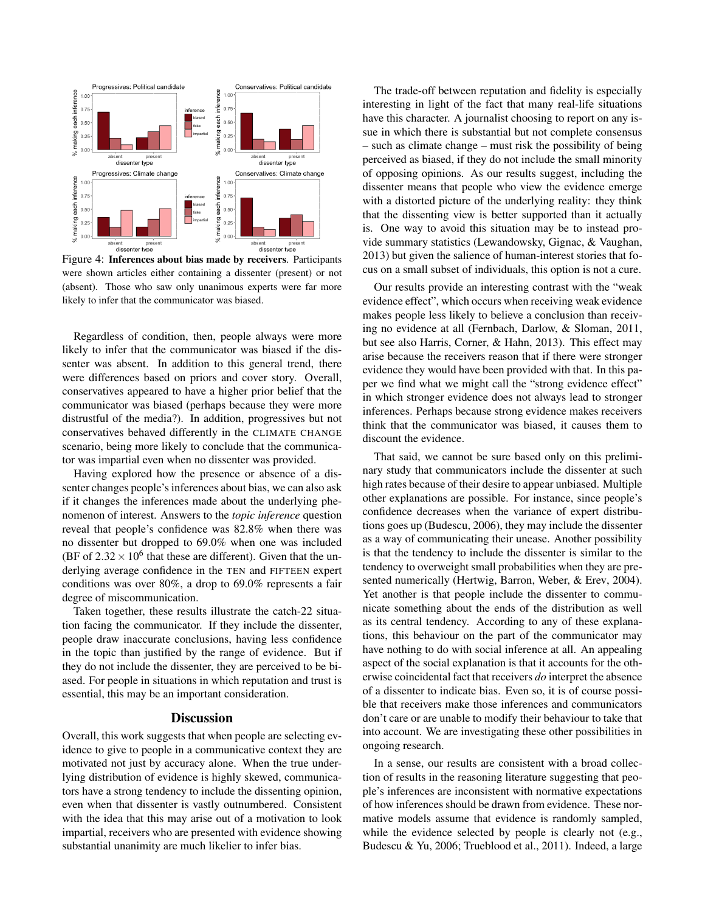

Figure 4: Inferences about bias made by receivers. Participants were shown articles either containing a dissenter (present) or not (absent). Those who saw only unanimous experts were far more likely to infer that the communicator was biased.

Regardless of condition, then, people always were more likely to infer that the communicator was biased if the dissenter was absent. In addition to this general trend, there were differences based on priors and cover story. Overall, conservatives appeared to have a higher prior belief that the communicator was biased (perhaps because they were more distrustful of the media?). In addition, progressives but not conservatives behaved differently in the CLIMATE CHANGE scenario, being more likely to conclude that the communicator was impartial even when no dissenter was provided.

Having explored how the presence or absence of a dissenter changes people's inferences about bias, we can also ask if it changes the inferences made about the underlying phenomenon of interest. Answers to the *topic inference* question reveal that people's confidence was 82.8% when there was no dissenter but dropped to 69.0% when one was included (BF of  $2.32 \times 10^6$  that these are different). Given that the underlying average confidence in the TEN and FIFTEEN expert conditions was over 80%, a drop to 69.0% represents a fair degree of miscommunication.

Taken together, these results illustrate the catch-22 situation facing the communicator. If they include the dissenter, people draw inaccurate conclusions, having less confidence in the topic than justified by the range of evidence. But if they do not include the dissenter, they are perceived to be biased. For people in situations in which reputation and trust is essential, this may be an important consideration.

## **Discussion**

Overall, this work suggests that when people are selecting evidence to give to people in a communicative context they are motivated not just by accuracy alone. When the true underlying distribution of evidence is highly skewed, communicators have a strong tendency to include the dissenting opinion, even when that dissenter is vastly outnumbered. Consistent with the idea that this may arise out of a motivation to look impartial, receivers who are presented with evidence showing substantial unanimity are much likelier to infer bias.

The trade-off between reputation and fidelity is especially interesting in light of the fact that many real-life situations have this character. A journalist choosing to report on any issue in which there is substantial but not complete consensus – such as climate change – must risk the possibility of being perceived as biased, if they do not include the small minority of opposing opinions. As our results suggest, including the dissenter means that people who view the evidence emerge with a distorted picture of the underlying reality: they think that the dissenting view is better supported than it actually is. One way to avoid this situation may be to instead provide summary statistics (Lewandowsky, Gignac, & Vaughan, 2013) but given the salience of human-interest stories that focus on a small subset of individuals, this option is not a cure.

Our results provide an interesting contrast with the "weak evidence effect", which occurs when receiving weak evidence makes people less likely to believe a conclusion than receiving no evidence at all (Fernbach, Darlow, & Sloman, 2011, but see also Harris, Corner, & Hahn, 2013). This effect may arise because the receivers reason that if there were stronger evidence they would have been provided with that. In this paper we find what we might call the "strong evidence effect" in which stronger evidence does not always lead to stronger inferences. Perhaps because strong evidence makes receivers think that the communicator was biased, it causes them to discount the evidence.

That said, we cannot be sure based only on this preliminary study that communicators include the dissenter at such high rates because of their desire to appear unbiased. Multiple other explanations are possible. For instance, since people's confidence decreases when the variance of expert distributions goes up (Budescu, 2006), they may include the dissenter as a way of communicating their unease. Another possibility is that the tendency to include the dissenter is similar to the tendency to overweight small probabilities when they are presented numerically (Hertwig, Barron, Weber, & Erev, 2004). Yet another is that people include the dissenter to communicate something about the ends of the distribution as well as its central tendency. According to any of these explanations, this behaviour on the part of the communicator may have nothing to do with social inference at all. An appealing aspect of the social explanation is that it accounts for the otherwise coincidental fact that receivers *do* interpret the absence of a dissenter to indicate bias. Even so, it is of course possible that receivers make those inferences and communicators don't care or are unable to modify their behaviour to take that into account. We are investigating these other possibilities in ongoing research.

In a sense, our results are consistent with a broad collection of results in the reasoning literature suggesting that people's inferences are inconsistent with normative expectations of how inferences should be drawn from evidence. These normative models assume that evidence is randomly sampled, while the evidence selected by people is clearly not (e.g., Budescu & Yu, 2006; Trueblood et al., 2011). Indeed, a large